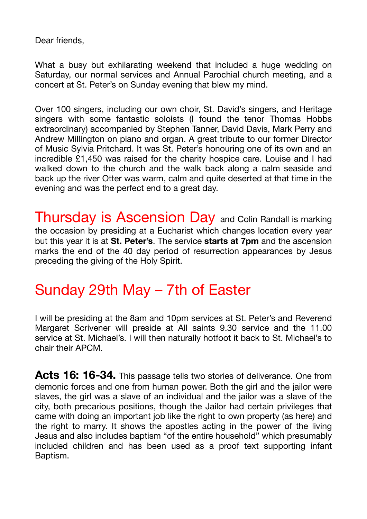Dear friends,

What a busy but exhilarating weekend that included a huge wedding on Saturday, our normal services and Annual Parochial church meeting, and a concert at St. Peter's on Sunday evening that blew my mind.

Over 100 singers, including our own choir, St. David's singers, and Heritage singers with some fantastic soloists (I found the tenor Thomas Hobbs extraordinary) accompanied by Stephen Tanner, David Davis, Mark Perry and Andrew Millington on piano and organ. A great tribute to our former Director of Music Sylvia Pritchard. It was St. Peter's honouring one of its own and an incredible £1,450 was raised for the charity hospice care. Louise and I had walked down to the church and the walk back along a calm seaside and back up the river Otter was warm, calm and quite deserted at that time in the evening and was the perfect end to a great day.

Thursday is Ascension Day and Colin Randall is marking the occasion by presiding at a Eucharist which changes location every year but this year it is at **St. Peter's**. The service **starts at 7pm** and the ascension marks the end of the 40 day period of resurrection appearances by Jesus preceding the giving of the Holy Spirit.

## Sunday 29th May – 7th of Easter

I will be presiding at the 8am and 10pm services at St. Peter's and Reverend Margaret Scrivener will preside at All saints 9.30 service and the 11.00 service at St. Michael's. I will then naturally hotfoot it back to St. Michael's to chair their APCM.

**Acts 16: 16-34.** This passage tells two stories of deliverance. One from demonic forces and one from human power. Both the girl and the jailor were slaves, the girl was a slave of an individual and the jailor was a slave of the city, both precarious positions, though the Jailor had certain privileges that came with doing an important job like the right to own property (as here) and the right to marry. It shows the apostles acting in the power of the living Jesus and also includes baptism "of the entire household" which presumably included children and has been used as a proof text supporting infant Baptism.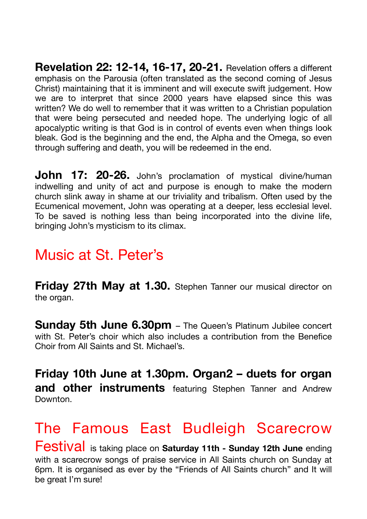**Revelation 22: 12-14, 16-17, 20-21.** Revelation offers a different emphasis on the Parousia (often translated as the second coming of Jesus Christ) maintaining that it is imminent and will execute swift judgement. How we are to interpret that since 2000 years have elapsed since this was written? We do well to remember that it was written to a Christian population that were being persecuted and needed hope. The underlying logic of all apocalyptic writing is that God is in control of events even when things look bleak. God is the beginning and the end, the Alpha and the Omega, so even through suffering and death, you will be redeemed in the end.

**John 17: 20-26.** John's proclamation of mystical divine/human indwelling and unity of act and purpose is enough to make the modern church slink away in shame at our triviality and tribalism. Often used by the Ecumenical movement, John was operating at a deeper, less ecclesial level. To be saved is nothing less than being incorporated into the divine life, bringing John's mysticism to its climax.

## Music at St. Peter's

**Friday 27th May at 1.30.** Stephen Tanner our musical director on the organ.

**Sunday 5th June 6.30pm** – The Queen's Platinum Jubilee concert with St. Peter's choir which also includes a contribution from the Benefice Choir from All Saints and St. Michael's.

**Friday 10th June at 1.30pm. Organ2 – duets for organ and other instruments** featuring Stephen Tanner and Andrew Downton.

## The Famous East Budleigh Scarecrow

Festival is taking place on **Saturday 11th - Sunday 12th June** ending with a scarecrow songs of praise service in All Saints church on Sunday at 6pm. It is organised as ever by the "Friends of All Saints church" and It will be great I'm sure!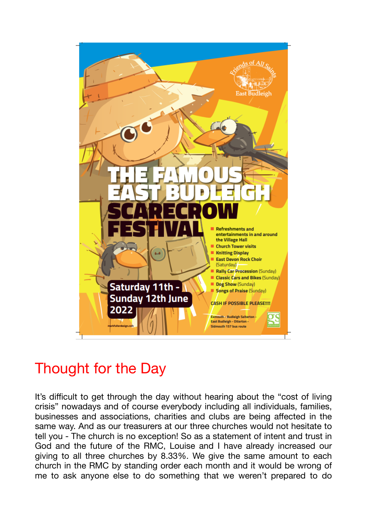

## Thought for the Day

It's difficult to get through the day without hearing about the "cost of living crisis" nowadays and of course everybody including all individuals, families, businesses and associations, charities and clubs are being affected in the same way. And as our treasurers at our three churches would not hesitate to tell you - The church is no exception! So as a statement of intent and trust in God and the future of the RMC, Louise and I have already increased our giving to all three churches by 8.33%. We give the same amount to each church in the RMC by standing order each month and it would be wrong of me to ask anyone else to do something that we weren't prepared to do